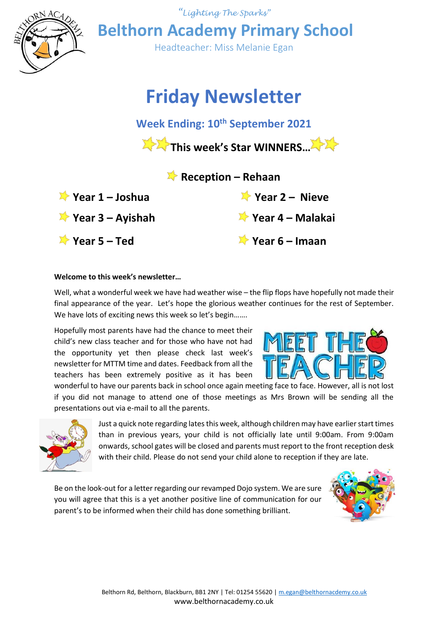

**Year 3 – Ayishah Year 4 – Malakai**

**Year 5 – Ted Year 6 – Imaan**

#### **Welcome to this week's newsletter…**

Well, what a wonderful week we have had weather wise – the flip flops have hopefully not made their final appearance of the year. Let's hope the glorious weather continues for the rest of September. We have lots of exciting news this week so let's begin.......

Hopefully most parents have had the chance to meet their child's new class teacher and for those who have not had the opportunity yet then please check last week's newsletter for MTTM time and dates. Feedback from all the teachers has been extremely positive as it has been

wonderful to have our parents back in school once again meeting face to face. However, all is not lost if you did not manage to attend one of those meetings as Mrs Brown will be sending all the presentations out via e-mail to all the parents.



Just a quick note regarding latesthis week, although children may have earlier start times than in previous years, your child is not officially late until 9:00am. From 9:00am onwards, school gates will be closed and parents must report to the front reception desk with their child. Please do not send your child alone to reception if they are late.

Be on the look-out for a letter regarding our revamped Dojo system. We are sure you will agree that this is a yet another positive line of communication for our parent's to be informed when their child has done something brilliant.

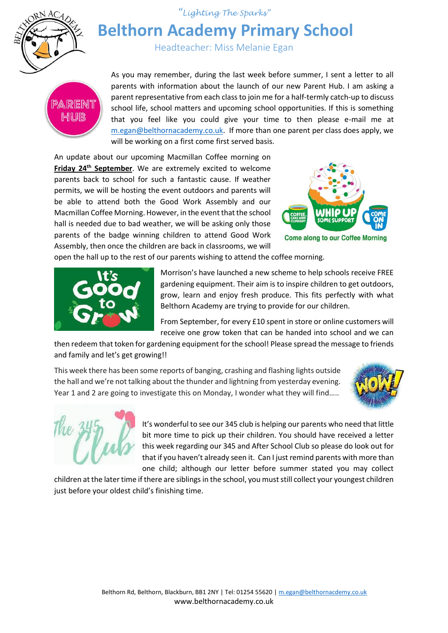

*"Lighting The Sparks"*

# **Belthorn Academy Primary School**

Headteacher: Miss Melanie Egan



As you may remember, during the last week before summer, I sent a letter to all parents with information about the launch of our new Parent Hub. I am asking a parent representative from each class to join me for a half-termly catch-up to discuss school life, school matters and upcoming school opportunities. If this is something that you feel like you could give your time to then please e-mail me at [m.egan@belthornacademy.co.uk.](mailto:m.egan@belthornacademy.co.uk) If more than one parent per class does apply, we will be working on a first come first served basis.

An update about our upcoming Macmillan Coffee morning on **Friday 24th September**. We are extremely excited to welcome parents back to school for such a fantastic cause. If weather permits, we will be hosting the event outdoors and parents will be able to attend both the Good Work Assembly and our Macmillan Coffee Morning. However, in the event that the school hall is needed due to bad weather, we will be asking only those parents of the badge winning children to attend Good Work Assembly, then once the children are back in classrooms, we will



**Come along to our Coffee Morning** 

open the hall up to the rest of our parents wishing to attend the coffee morning.



Morrison's have launched a new scheme to help schools receive FREE gardening equipment. Their aim is to inspire children to get outdoors, grow, learn and enjoy fresh produce. This fits perfectly with what Belthorn Academy are trying to provide for our children.

From September, for every £10 spent in store or online customers will receive one grow token that can be handed into school and we can

then redeem that token for gardening equipment for the school! Please spread the message to friends and family and let's get growing!!

This week there has been some reports of banging, crashing and flashing lights outside the hall and we're not talking about the thunder and lightning from yesterday evening. Year 1 and 2 are going to investigate this on Monday, I wonder what they will find.....





It's wonderful to see our 345 club is helping our parents who need that little bit more time to pick up their children. You should have received a letter this week regarding our 345 and After School Club so please do look out for that if you haven't already seen it. Can I just remind parents with more than one child; although our letter before summer stated you may collect

children at the later time if there are siblings in the school, you must still collect your youngest children just before your oldest child's finishing time.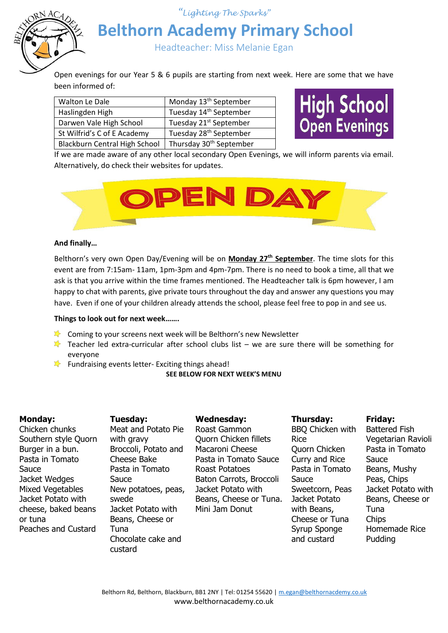*"Lighting The Sparks"*



# **Belthorn Academy Primary School**

Headteacher: Miss Melanie Egan

Open evenings for our Year 5 & 6 pupils are starting from next week. Here are some that we have been informed of:

| Walton Le Dale                | Monday 13 <sup>th</sup> September   |
|-------------------------------|-------------------------------------|
| Haslingden High               | Tuesday 14 <sup>th</sup> September  |
| Darwen Vale High School       | Tuesday 21 <sup>st</sup> September  |
| St Wilfrid's C of E Academy   | Tuesday 28 <sup>th</sup> September  |
| Blackburn Central High School | Thursday 30 <sup>th</sup> September |

High School<br>Open Evenings

If we are made aware of any other local secondary Open Evenings, we will inform parents via email. Alternatively, do check their websites for updates.



## **And finally…**

Belthorn's very own Open Day/Evening will be on **Monday 27th September**. The time slots for this event are from 7:15am- 11am, 1pm-3pm and 4pm-7pm. There is no need to book a time, all that we ask is that you arrive within the time frames mentioned. The Headteacher talk is 6pm however, I am happy to chat with parents, give private tours throughout the day and answer any questions you may have. Even if one of your children already attends the school, please feel free to pop in and see us.

#### **Things to look out for next week…….**

- **X** Coming to your screens next week will be Belthorn's new Newsletter
- Teacher led extra-curricular after school clubs list we are sure there will be something for everyone
- Fundraising events letter- Exciting things ahead!

#### **SEE BELOW FOR NEXT WEEK'S MENU**

## **Monday:**

Chicken chunks Southern style Quorn Burger in a bun. Pasta in Tomato **Sauce** Jacket Wedges Mixed Vegetables Jacket Potato with cheese, baked beans or tuna Peaches and Custard

**Tuesday:** Meat and Potato Pie with gravy Broccoli, Potato and Cheese Bake Pasta in Tomato Sauce New potatoes, peas, swede Jacket Potato with Beans, Cheese or Tuna Chocolate cake and custard

## **Wednesday:**

Roast Gammon Quorn Chicken fillets Macaroni Cheese Pasta in Tomato Sauce Roast Potatoes Baton Carrots, Broccoli Jacket Potato with Beans, Cheese or Tuna. Mini Jam Donut

## **Thursday:** BBQ Chicken with Rice Quorn Chicken Curry and Rice Pasta in Tomato Sauce Sweetcorn, Peas Jacket Potato with Beans, Cheese or Tuna Syrup Sponge and custard

**Friday:**

Battered Fish Vegetarian Ravioli Pasta in Tomato Sauce Beans, Mushy Peas, Chips Jacket Potato with Beans, Cheese or Tuna **Chips** Homemade Rice Pudding